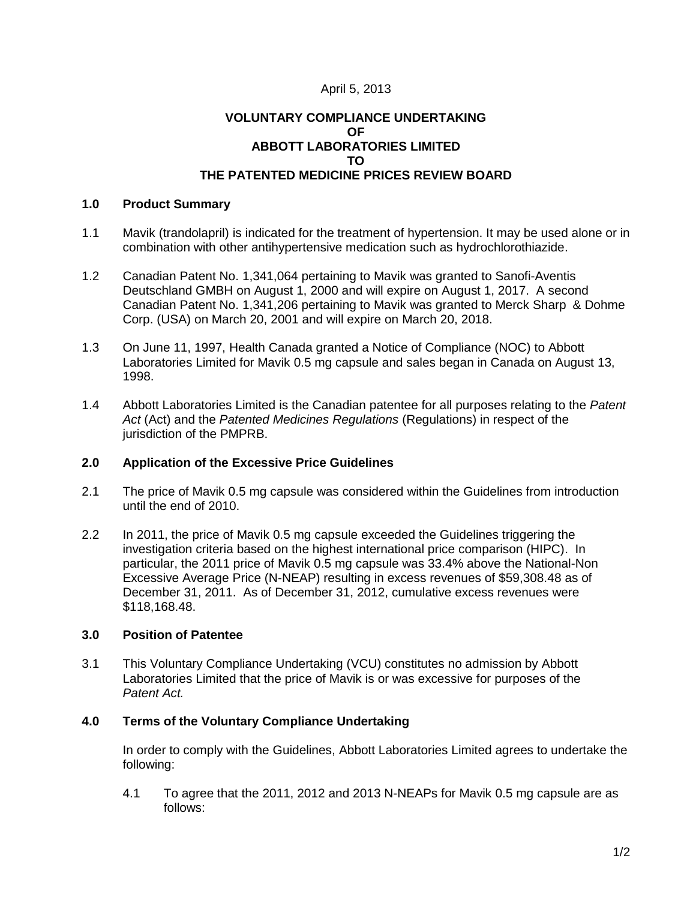# April 5, 2013

## **VOLUNTARY COMPLIANCE UNDERTAKING OF ABBOTT LABORATORIES LIMITED TO THE PATENTED MEDICINE PRICES REVIEW BOARD**

## **1.0 Product Summary**

- 1.1 Mavik (trandolapril) is indicated for the treatment of hypertension. It may be used alone or in combination with other antihypertensive medication such as hydrochlorothiazide.
- 1.2 Canadian Patent No. 1,341,064 pertaining to Mavik was granted to Sanofi-Aventis Deutschland GMBH on August 1, 2000 and will expire on August 1, 2017. A second Canadian Patent No. 1,341,206 pertaining to Mavik was granted to Merck Sharp & Dohme Corp. (USA) on March 20, 2001 and will expire on March 20, 2018.
- 1.3 On June 11, 1997, Health Canada granted a Notice of Compliance (NOC) to Abbott Laboratories Limited for Mavik 0.5 mg capsule and sales began in Canada on August 13, 1998.
- 1.4 Abbott Laboratories Limited is the Canadian patentee for all purposes relating to the *Patent Act* (Act) and the *Patented Medicines Regulations* (Regulations) in respect of the jurisdiction of the PMPRB.

# **2.0 Application of the Excessive Price Guidelines**

- 2.1 The price of Mavik 0.5 mg capsule was considered within the Guidelines from introduction until the end of 2010.
- 2.2 In 2011, the price of Mavik 0.5 mg capsule exceeded the Guidelines triggering the investigation criteria based on the highest international price comparison (HIPC). In particular, the 2011 price of Mavik 0.5 mg capsule was 33.4% above the National-Non Excessive Average Price (N-NEAP) resulting in excess revenues of \$59,308.48 as of December 31, 2011. As of December 31, 2012, cumulative excess revenues were \$118,168.48.

## **3.0 Position of Patentee**

3.1 This Voluntary Compliance Undertaking (VCU) constitutes no admission by Abbott Laboratories Limited that the price of Mavik is or was excessive for purposes of the *Patent Act.*

## **4.0 Terms of the Voluntary Compliance Undertaking**

In order to comply with the Guidelines, Abbott Laboratories Limited agrees to undertake the following:

4.1 To agree that the 2011, 2012 and 2013 N-NEAPs for Mavik 0.5 mg capsule are as follows: